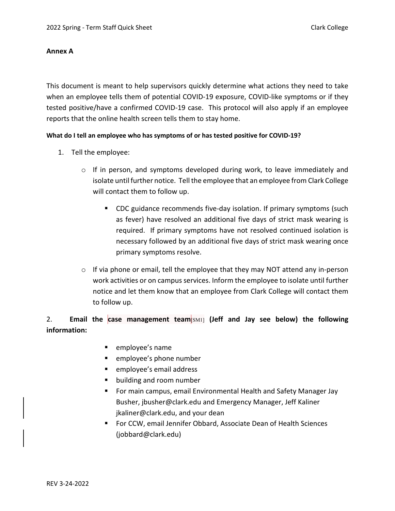#### **Annex A**

This document is meant to help supervisors quickly determine what actions they need to take when an employee tells them of potential COVID-19 exposure, COVID-like symptoms or if they tested positive/have a confirmed COVID-19 case. This protocol will also apply if an employee reports that the online health screen tells them to stay home.

#### **What do I tell an employee who has symptoms of or has tested positive for COVID-19?**

- 1. Tell the employee:
	- o If in person, and symptoms developed during work, to leave immediately and isolate until further notice. Tell the employee that an employee from Clark College will contact them to follow up.
		- CDC guidance recommends five-day isolation. If primary symptoms (such as fever) have resolved an additional five days of strict mask wearing is required. If primary symptoms have not resolved continued isolation is necessary followed by an additional five days of strict mask wearing once primary symptoms resolve.
	- o If via phone or email, tell the employee that they may NOT attend any in-person work activities or on campus services. Inform the employee to isolate until further notice and let them know that an employee from Clark College will contact them to follow up.

# 2. **Email the case management team**[SM1] **(Jeff and Jay see below) the following information:**

- employee's name
- **EXE** employee's phone number
- **EXECUTE:** employee's email address
- building and room number
- For main campus, email Environmental Health and Safety Manager Jay Busher[, jbusher@clark.edu](mailto:jbusher@clark.edu) and Emergency Manager, Jeff Kaliner [jkaliner@clark.edu,](mailto:jkaliner@clark.edu) and your dean
- For CCW, email Jennifer Obbard, Associate Dean of Health Sciences [\(jobbard@clark.edu\)](mailto:jobbard@clark.edu)